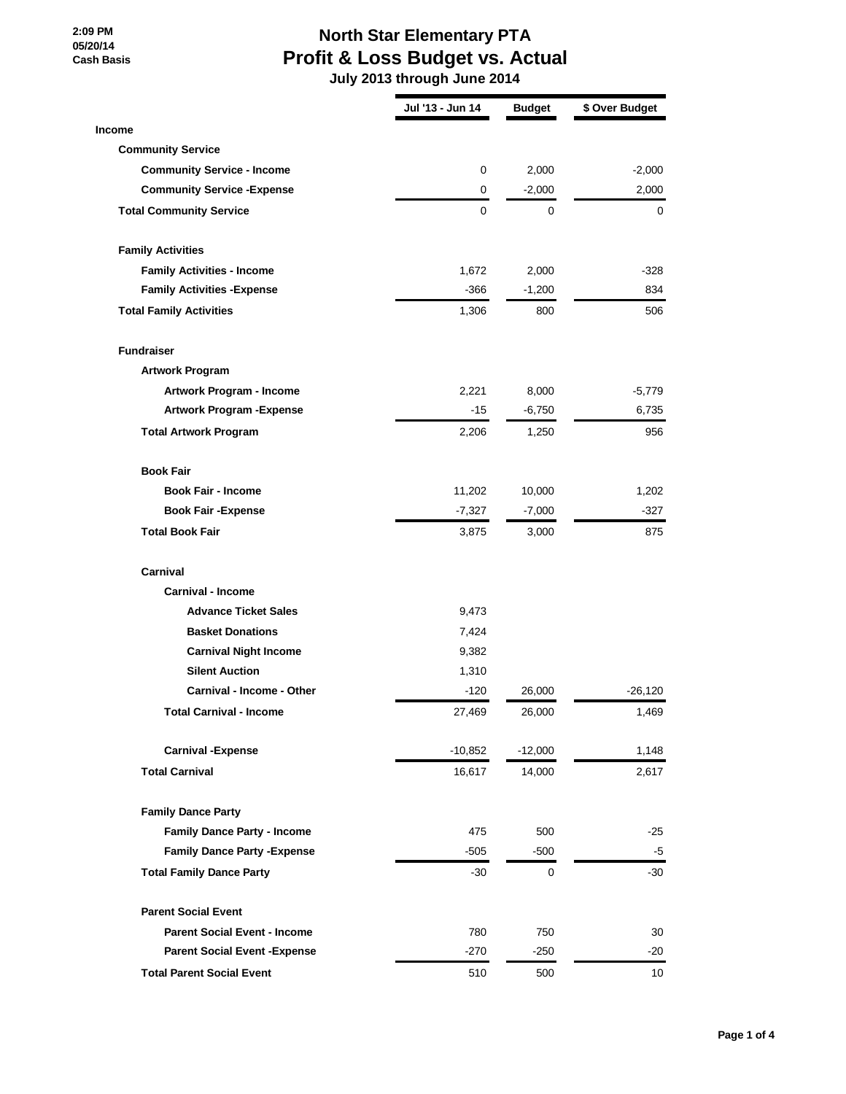#### **2:09 PM 05/20/14 Cash Basis**

### **North Star Elementary PTA Profit & Loss Budget vs. Actual**

|                                      | Jul '13 - Jun 14 | <b>Budget</b> | \$ Over Budget |
|--------------------------------------|------------------|---------------|----------------|
| <b>Income</b>                        |                  |               |                |
| <b>Community Service</b>             |                  |               |                |
| <b>Community Service - Income</b>    | 0                | 2,000         | $-2,000$       |
| <b>Community Service - Expense</b>   | 0                | $-2,000$      | 2,000          |
| <b>Total Community Service</b>       | 0                | 0             | 0              |
| <b>Family Activities</b>             |                  |               |                |
| <b>Family Activities - Income</b>    | 1,672            | 2,000         | -328           |
| <b>Family Activities - Expense</b>   | $-366$           | $-1,200$      | 834            |
| <b>Total Family Activities</b>       | 1,306            | 800           | 506            |
| <b>Fundraiser</b>                    |                  |               |                |
| <b>Artwork Program</b>               |                  |               |                |
| Artwork Program - Income             | 2,221            | 8,000         | $-5,779$       |
| <b>Artwork Program - Expense</b>     | -15              | $-6,750$      | 6,735          |
| <b>Total Artwork Program</b>         | 2,206            | 1,250         | 956            |
| <b>Book Fair</b>                     |                  |               |                |
| <b>Book Fair - Income</b>            | 11,202           | 10,000        | 1,202          |
| <b>Book Fair - Expense</b>           | $-7,327$         | $-7,000$      | $-327$         |
| <b>Total Book Fair</b>               | 3,875            | 3,000         | 875            |
| Carnival                             |                  |               |                |
| <b>Carnival - Income</b>             |                  |               |                |
| <b>Advance Ticket Sales</b>          | 9,473            |               |                |
| <b>Basket Donations</b>              | 7,424            |               |                |
| <b>Carnival Night Income</b>         | 9,382            |               |                |
| <b>Silent Auction</b>                | 1,310            |               |                |
| Carnival - Income - Other            | -120             | 26,000        | $-26,120$      |
| <b>Total Carnival - Income</b>       | 27,469           | 26,000        | 1,469          |
| <b>Carnival -Expense</b>             | $-10,852$        | $-12,000$     | 1,148          |
| <b>Total Carnival</b>                | 16,617           | 14,000        | 2,617          |
| <b>Family Dance Party</b>            |                  |               |                |
| <b>Family Dance Party - Income</b>   | 475              | 500           | $-25$          |
| <b>Family Dance Party - Expense</b>  | $-505$           | $-500$        | $-5$           |
| <b>Total Family Dance Party</b>      | $-30$            | $\mathbf 0$   | $-30$          |
| <b>Parent Social Event</b>           |                  |               |                |
| <b>Parent Social Event - Income</b>  | 780              | 750           | 30             |
| <b>Parent Social Event - Expense</b> | $-270$           | -250          | -20            |
| <b>Total Parent Social Event</b>     | 510              | 500           | 10             |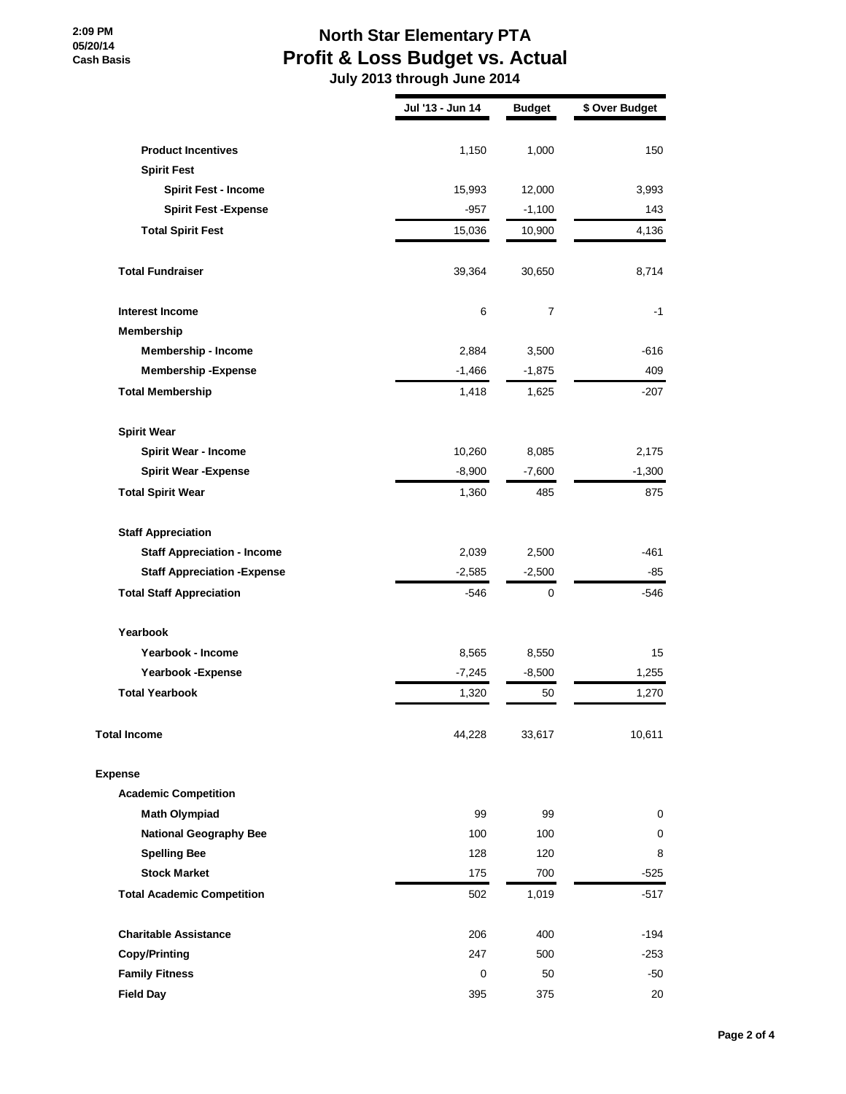#### **2:09 PM 05/20/14 Cash Basis**

## **North Star Elementary PTA Profit & Loss Budget vs. Actual**

|                                                 | Jul '13 - Jun 14 | <b>Budget</b>  | \$ Over Budget |
|-------------------------------------------------|------------------|----------------|----------------|
|                                                 |                  |                |                |
| <b>Product Incentives</b><br><b>Spirit Fest</b> | 1,150            | 1,000          | 150            |
| <b>Spirit Fest - Income</b>                     | 15,993           | 12,000         | 3,993          |
| <b>Spirit Fest -Expense</b>                     | $-957$           | $-1,100$       | 143            |
| <b>Total Spirit Fest</b>                        | 15,036           | 10,900         | 4,136          |
|                                                 |                  |                |                |
| <b>Total Fundraiser</b>                         | 39,364           | 30,650         | 8,714          |
| <b>Interest Income</b>                          | 6                | $\overline{7}$ | -1             |
| Membership                                      |                  |                |                |
| <b>Membership - Income</b>                      | 2,884            | 3,500          | $-616$         |
| <b>Membership-Expense</b>                       | $-1,466$         | $-1,875$       | 409            |
| <b>Total Membership</b>                         | 1,418            | 1,625          | $-207$         |
| <b>Spirit Wear</b>                              |                  |                |                |
| <b>Spirit Wear - Income</b>                     | 10,260           | 8,085          | 2,175          |
| <b>Spirit Wear - Expense</b>                    | $-8,900$         | $-7,600$       | $-1,300$       |
| <b>Total Spirit Wear</b>                        | 1,360            | 485            | 875            |
| <b>Staff Appreciation</b>                       |                  |                |                |
| <b>Staff Appreciation - Income</b>              | 2,039            | 2,500          | -461           |
| <b>Staff Appreciation - Expense</b>             | $-2,585$         | $-2,500$       | -85            |
| <b>Total Staff Appreciation</b>                 | $-546$           | 0              | -546           |
| Yearbook                                        |                  |                |                |
| Yearbook - Income                               | 8,565            | 8,550          | 15             |
| Yearbook - Expense                              | $-7,245$         | $-8,500$       | 1,255          |
| <b>Total Yearbook</b>                           | 1,320            | 50             | 1,270          |
| <b>Total Income</b>                             | 44,228           | 33,617         | 10,611         |
| <b>Expense</b>                                  |                  |                |                |
| <b>Academic Competition</b>                     |                  |                |                |
| <b>Math Olympiad</b>                            | 99               | 99             | 0              |
| <b>National Geography Bee</b>                   | 100              | 100            | 0              |
| <b>Spelling Bee</b>                             | 128              | 120            | 8              |
| <b>Stock Market</b>                             | 175              | 700            | $-525$         |
| <b>Total Academic Competition</b>               | 502              | 1,019          | $-517$         |
| <b>Charitable Assistance</b>                    | 206              | 400            | -194           |
| <b>Copy/Printing</b>                            | 247              | 500            | $-253$         |
| <b>Family Fitness</b>                           | 0                | 50             | -50            |
| <b>Field Day</b>                                | 395              | 375            | 20             |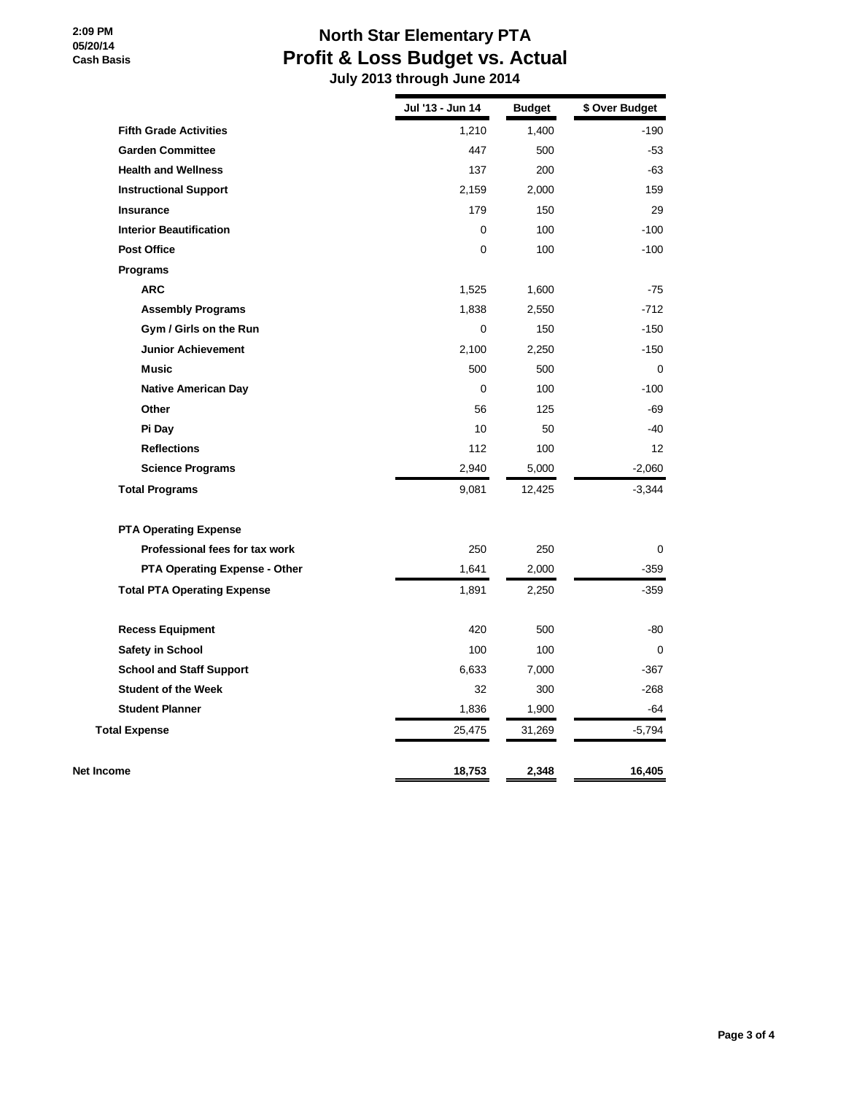# **North Star Elementary PTA Profit & Loss Budget vs. Actual**

|                                    | Jul '13 - Jun 14 | <b>Budget</b> | \$ Over Budget |
|------------------------------------|------------------|---------------|----------------|
| <b>Fifth Grade Activities</b>      | 1,210            | 1,400         | -190           |
| <b>Garden Committee</b>            | 447              | 500           | $-53$          |
| <b>Health and Wellness</b>         | 137              | 200           | -63            |
| <b>Instructional Support</b>       | 2,159            | 2,000         | 159            |
| <b>Insurance</b>                   | 179              | 150           | 29             |
| <b>Interior Beautification</b>     | $\Omega$         | 100           | $-100$         |
| <b>Post Office</b>                 | 0                | 100           | $-100$         |
| <b>Programs</b>                    |                  |               |                |
| <b>ARC</b>                         | 1,525            | 1,600         | $-75$          |
| <b>Assembly Programs</b>           | 1,838            | 2,550         | $-712$         |
| Gym / Girls on the Run             | $\mathbf 0$      | 150           | $-150$         |
| <b>Junior Achievement</b>          | 2,100            | 2,250         | $-150$         |
| <b>Music</b>                       | 500              | 500           | $\mathbf 0$    |
| <b>Native American Day</b>         | $\Omega$         | 100           | $-100$         |
| Other                              | 56               | 125           | $-69$          |
| Pi Day                             | 10               | 50            | $-40$          |
| <b>Reflections</b>                 | 112              | 100           | 12             |
| <b>Science Programs</b>            | 2,940            | 5,000         | $-2,060$       |
| <b>Total Programs</b>              | 9,081            | 12,425        | $-3,344$       |
| <b>PTA Operating Expense</b>       |                  |               |                |
| Professional fees for tax work     | 250              | 250           | 0              |
| PTA Operating Expense - Other      | 1,641            | 2,000         | -359           |
| <b>Total PTA Operating Expense</b> | 1,891            | 2,250         | $-359$         |
| <b>Recess Equipment</b>            | 420              | 500           | $-80$          |
| <b>Safety in School</b>            | 100              | 100           | $\mathbf 0$    |
| <b>School and Staff Support</b>    | 6,633            | 7,000         | -367           |
| <b>Student of the Week</b>         | 32               | 300           | $-268$         |
| <b>Student Planner</b>             | 1,836            | 1,900         | -64            |
| <b>Total Expense</b>               | 25,475           | 31,269        | $-5,794$       |
| Net Income                         | 18,753           | 2,348         | 16,405         |